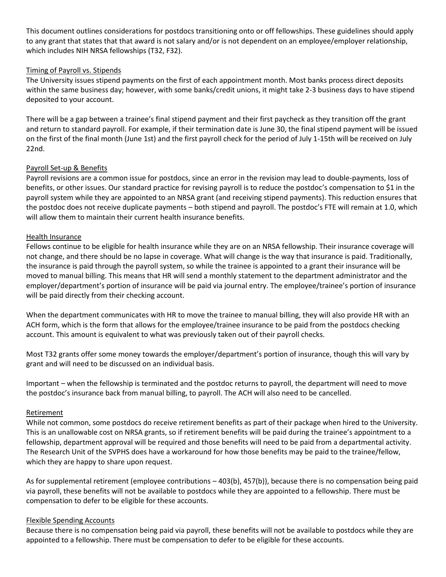This document outlines considerations for postdocs transitioning onto or off fellowships. These guidelines should apply to any grant that states that that award is not salary and/or is not dependent on an employee/employer relationship, which includes NIH NRSA fellowships (T32, F32).

## Timing of Payroll vs. Stipends

The University issues stipend payments on the first of each appointment month. Most banks process direct deposits within the same business day; however, with some banks/credit unions, it might take 2-3 business days to have stipend deposited to your account.

There will be a gap between a trainee's final stipend payment and their first paycheck as they transition off the grant and return to standard payroll. For example, if their termination date is June 30, the final stipend payment will be issued on the first of the final month (June 1st) and the first payroll check for the period of July 1-15th will be received on July 22nd.

## Payroll Set-up & Benefits

Payroll revisions are a common issue for postdocs, since an error in the revision may lead to double-payments, loss of benefits, or other issues. Our standard practice for revising payroll is to reduce the postdoc's compensation to \$1 in the payroll system while they are appointed to an NRSA grant (and receiving stipend payments). This reduction ensures that the postdoc does not receive duplicate payments – both stipend and payroll. The postdoc's FTE will remain at 1.0, which will allow them to maintain their current health insurance benefits.

## Health Insurance

Fellows continue to be eligible for health insurance while they are on an NRSA fellowship. Their insurance coverage will not change, and there should be no lapse in coverage. What will change is the way that insurance is paid. Traditionally, the insurance is paid through the payroll system, so while the trainee is appointed to a grant their insurance will be moved to manual billing. This means that HR will send a monthly statement to the department administrator and the employer/department's portion of insurance will be paid via journal entry. The employee/trainee's portion of insurance will be paid directly from their checking account.

When the department communicates with HR to move the trainee to manual billing, they will also provide HR with an ACH form, which is the form that allows for the employee/trainee insurance to be paid from the postdocs checking account. This amount is equivalent to what was previously taken out of their payroll checks.

Most T32 grants offer some money towards the employer/department's portion of insurance, though this will vary by grant and will need to be discussed on an individual basis.

Important – when the fellowship is terminated and the postdoc returns to payroll, the department will need to move the postdoc's insurance back from manual billing, to payroll. The ACH will also need to be cancelled.

## Retirement

While not common, some postdocs do receive retirement benefits as part of their package when hired to the University. This is an unallowable cost on NRSA grants, so if retirement benefits will be paid during the trainee's appointment to a fellowship, department approval will be required and those benefits will need to be paid from a departmental activity. The Research Unit of the SVPHS does have a workaround for how those benefits may be paid to the trainee/fellow, which they are happy to share upon request.

As for supplemental retirement (employee contributions – 403(b), 457(b)), because there is no compensation being paid via payroll, these benefits will not be available to postdocs while they are appointed to a fellowship. There must be compensation to defer to be eligible for these accounts.

## Flexible Spending Accounts

Because there is no compensation being paid via payroll, these benefits will not be available to postdocs while they are appointed to a fellowship. There must be compensation to defer to be eligible for these accounts.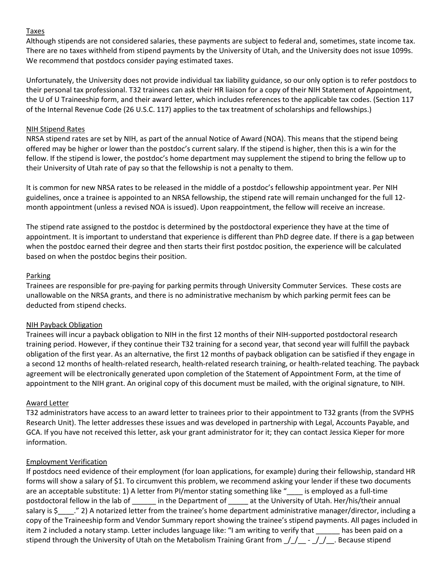## Taxes

Although stipends are not considered salaries, these payments are subject to federal and, sometimes, state income tax. There are no taxes withheld from stipend payments by the University of Utah, and the University does not issue 1099s. We recommend that postdocs consider paying estimated taxes.

Unfortunately, the University does not provide individual tax liability guidance, so our only option is to refer postdocs to their personal tax professional. T32 trainees can ask their HR liaison for a copy of their NIH Statement of Appointment, the U of U Traineeship form, and their award letter, which includes references to the applicable tax codes. (Section 117 of the Internal Revenue Code (26 U.S.C. 117) applies to the tax treatment of scholarships and fellowships.)

#### NIH Stipend Rates

NRSA stipend rates are set by NIH, as part of the annual Notice of Award (NOA). This means that the stipend being offered may be higher or lower than the postdoc's current salary. If the stipend is higher, then this is a win for the fellow. If the stipend is lower, the postdoc's home department may supplement the stipend to bring the fellow up to their University of Utah rate of pay so that the fellowship is not a penalty to them.

It is common for new NRSA rates to be released in the middle of a postdoc's fellowship appointment year. Per NIH guidelines, once a trainee is appointed to an NRSA fellowship, the stipend rate will remain unchanged for the full 12 month appointment (unless a revised NOA is issued). Upon reappointment, the fellow will receive an increase.

The stipend rate assigned to the postdoc is determined by the postdoctoral experience they have at the time of appointment. It is important to understand that experience is different than PhD degree date. If there is a gap between when the postdoc earned their degree and then starts their first postdoc position, the experience will be calculated based on when the postdoc begins their position.

## Parking

Trainees are responsible for pre-paying for parking permits through University Commuter Services. These costs are unallowable on the NRSA grants, and there is no administrative mechanism by which parking permit fees can be deducted from stipend checks.

## NIH Payback Obligation

Trainees will incur a payback obligation to NIH in the first 12 months of their NIH-supported postdoctoral research training period. However, if they continue their T32 training for a second year, that second year will fulfill the payback obligation of the first year. As an alternative, the first 12 months of payback obligation can be satisfied if they engage in a second 12 months of health-related research, health-related research training, or health-related teaching. The payback agreement will be electronically generated upon completion of the Statement of Appointment Form, at the time of appointment to the NIH grant. An original copy of this document must be mailed, with the original signature, to NIH.

## Award Letter

T32 administrators have access to an award letter to trainees prior to their appointment to T32 grants (from the SVPHS Research Unit). The letter addresses these issues and was developed in partnership with Legal, Accounts Payable, and GCA. If you have not received this letter, ask your grant administrator for it; they can contact Jessica Kieper for more information.

## Employment Verification

If postdocs need evidence of their employment (for loan applications, for example) during their fellowship, standard HR forms will show a salary of \$1. To circumvent this problem, we recommend asking your lender if these two documents are an acceptable substitute: 1) A letter from PI/mentor stating something like " is employed as a full-time postdoctoral fellow in the lab of in the Department of at the University of Utah. Her/his/their annual salary is \$  $\degree$ ." 2) A notarized letter from the trainee's home department administrative manager/director, including a copy of the Traineeship form and Vendor Summary report showing the trainee's stipend payments. All pages included in item 2 included a notary stamp. Letter includes language like: "I am writing to verify that \_\_\_\_\_\_ has been paid on a stipend through the University of Utah on the Metabolism Training Grant from  $\frac{f}{f}$  -  $\frac{f}{f}$ . Because stipend